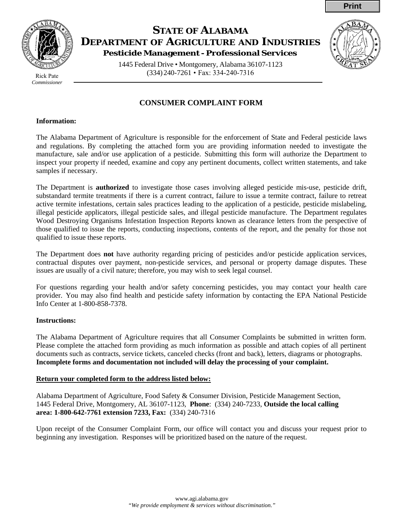# **STATE OF ALABAMA DEPARTMENT OF AGRICULTURE AND INDUSTRIES Pesticide Management - Professional Services**

1445 Federal Drive • Montgomery, Alabama 36107-1123 (334) 240-7261 • Fax: 334-240-7316

## **CONSUMER COMPLAINT FORM**

#### **Information:**

The Alabama Department of Agriculture is responsible for the enforcement of State and Federal pesticide laws and regulations. By completing the attached form you are providing information needed to investigate the manufacture, sale and/or use application of a pesticide. Submitting this form will authorize the Department to inspect your property if needed, examine and copy any pertinent documents, collect written statements, and take samples if necessary.

The Department is **authorized** to investigate those cases involving alleged pesticide mis-use, pesticide drift, substandard termite treatments if there is a current contract, failure to issue a termite contract, failure to retreat active termite infestations, certain sales practices leading to the application of a pesticide, pesticide mislabeling, illegal pesticide applicators, illegal pesticide sales, and illegal pesticide manufacture. The Department regulates Wood Destroying Organisms Infestation Inspection Reports known as clearance letters from the perspective of those qualified to issue the reports, conducting inspections, contents of the report, and the penalty for those not qualified to issue these reports.

The Department does **not** have authority regarding pricing of pesticides and/or pesticide application services, contractual disputes over payment, non-pesticide services, and personal or property damage disputes. These issues are usually of a civil nature; therefore, you may wish to seek legal counsel.

For questions regarding your health and/or safety concerning pesticides, you may contact your health care provider. You may also find health and pesticide safety information by contacting the EPA National Pesticide Info Center at 1-800-858-7378.

#### **Instructions:**

The Alabama Department of Agriculture requires that all Consumer Complaints be submitted in written form. Please complete the attached form providing as much information as possible and attach copies of all pertinent documents such as contracts, service tickets, canceled checks (front and back), letters, diagrams or photographs. **Incomplete forms and documentation not included will delay the processing of your complaint.**

#### **Return your completed form to the address listed below:**

Alabama Department of Agriculture, Food Safety & Consumer Division, Pesticide Management Section, 1445 Federal Drive, Montgomery, AL 36107-1123, **Phone**: (334) 240-7233, **Outside the local calling area: 1-800-642-7761 extension 7233, Fax:** (334) 240-7316

Upon receipt of the Consumer Complaint Form, our office will contact you and discuss your request prior to beginning any investigation. Responses will be prioritized based on the nature of the request.



*Commissioner*



**Print**